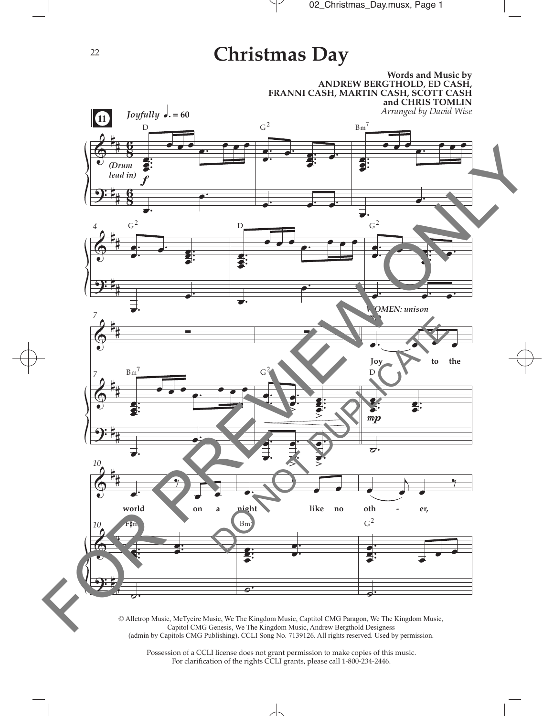## **Christmas Day**



Possession of a CCLI license does not grant permission to make copies of this music. For clarifcation of the rights CCLI grants, please call 1-800-234-2446.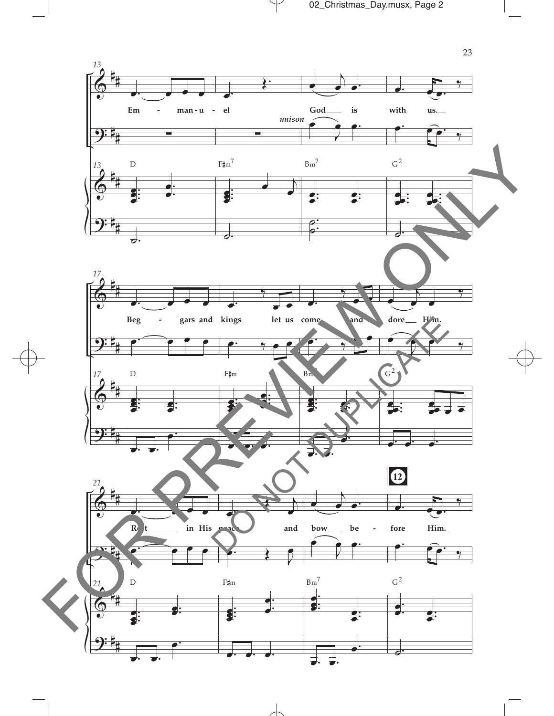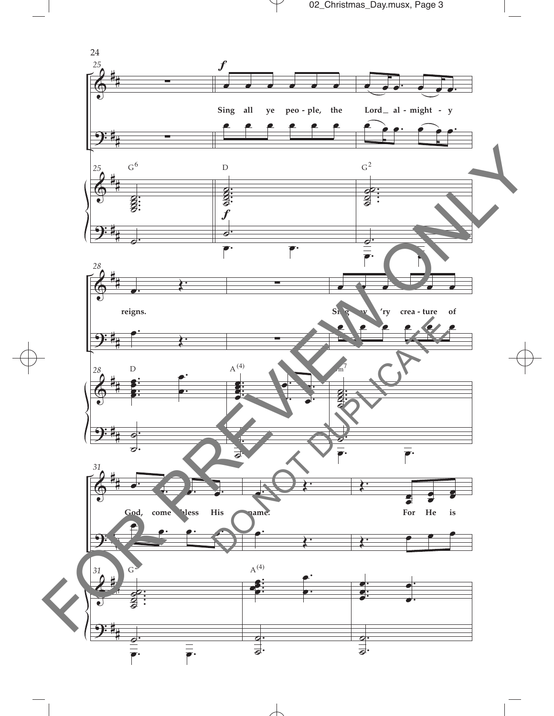

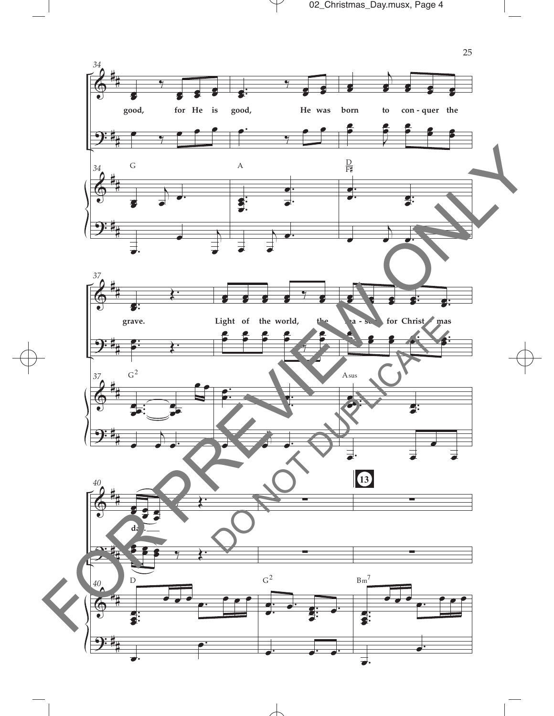

 $\mathcal V$ 

 $\overline{\mathcal{A}}$ 

 $\Box$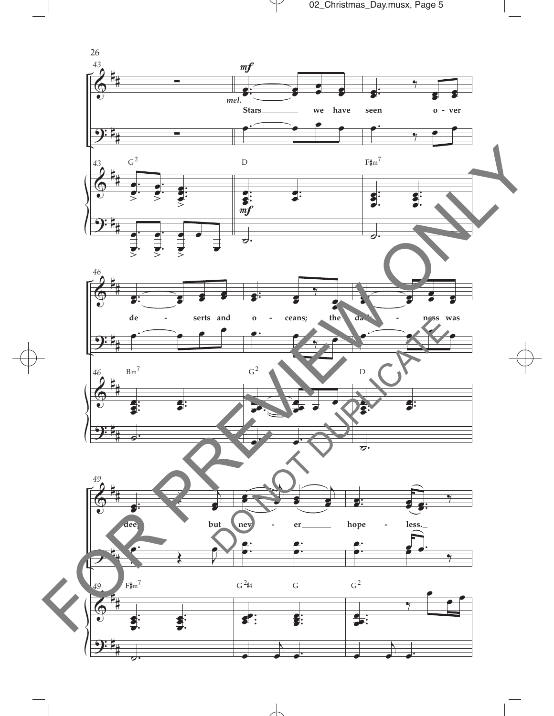



 $\overline{\mathcal{A}}$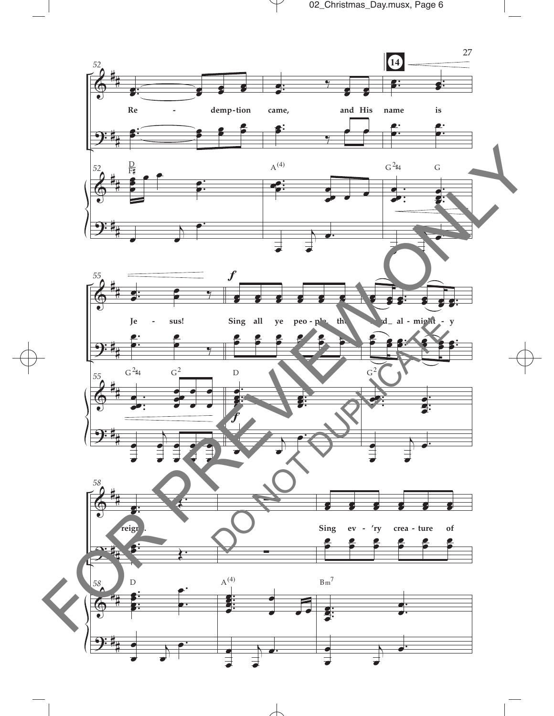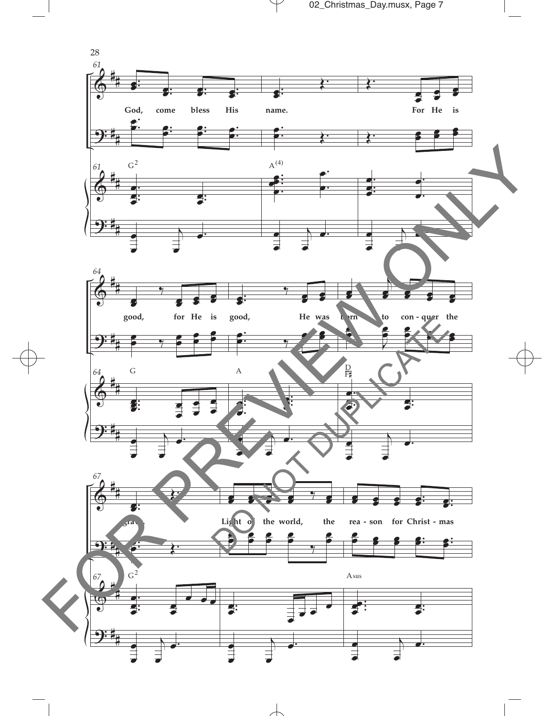



 $\mathcal Y$ 

 $\overline{\phantom{a}}$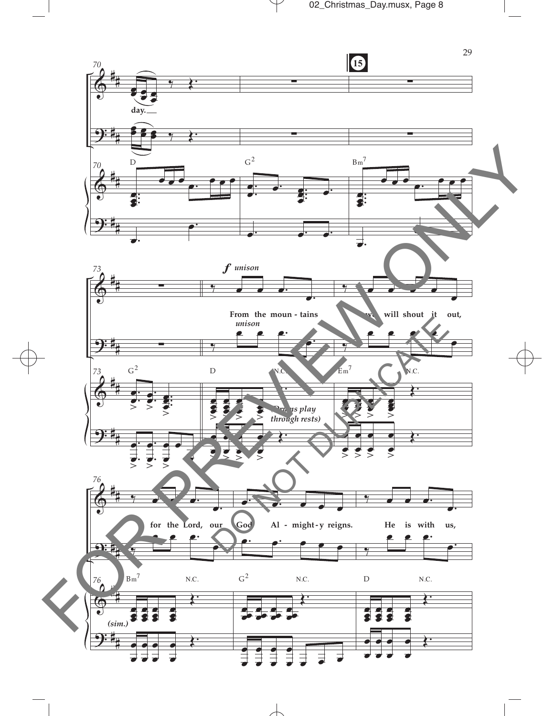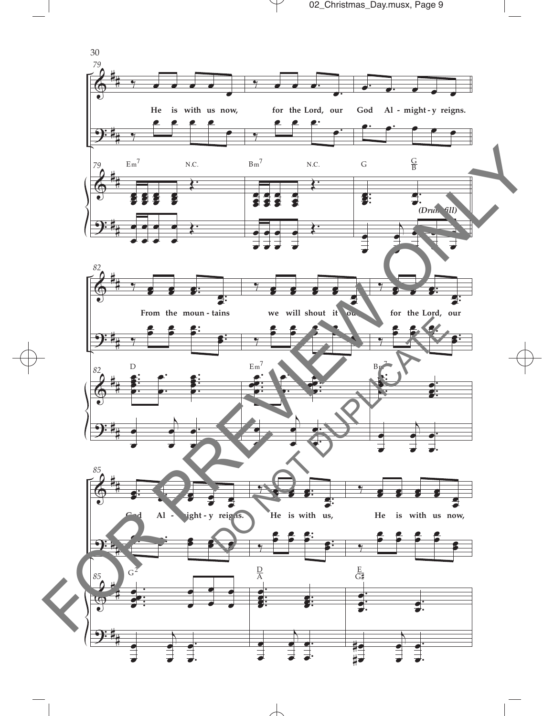

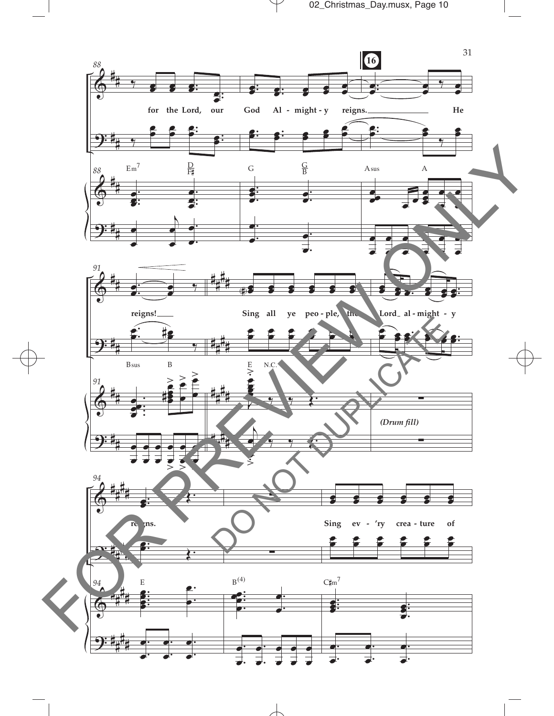

 $\overline{\phantom{a}}$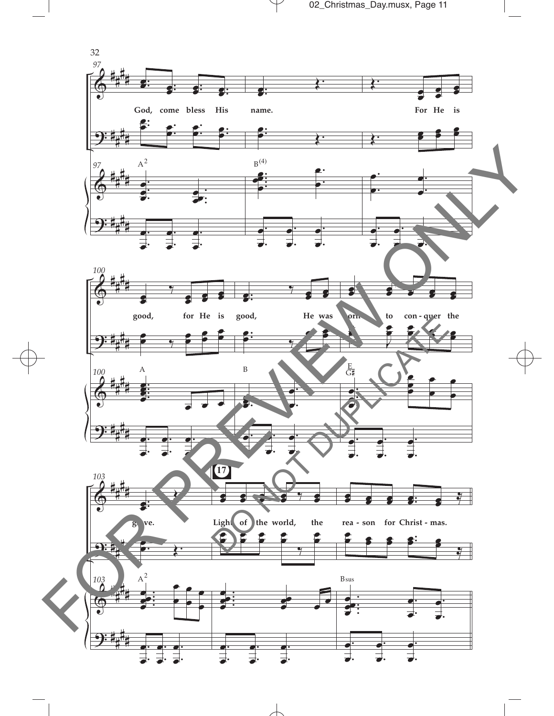



 $\overline{\phantom{a}}$ 

 $\mathcal Y$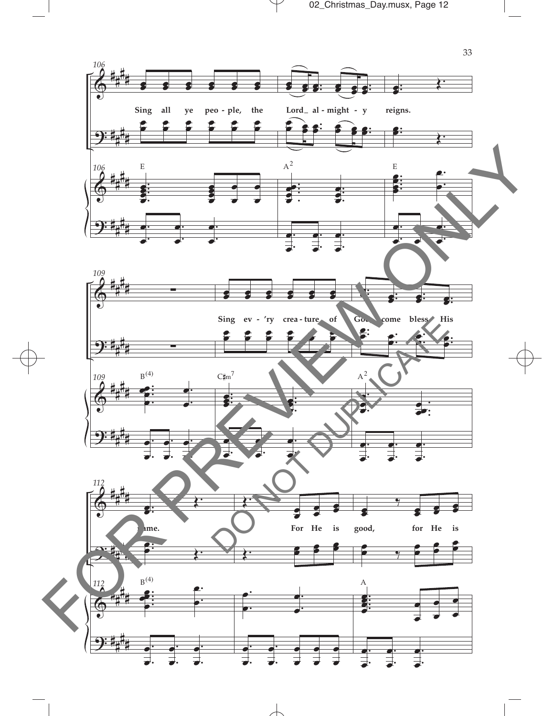

 $\mathcal Y$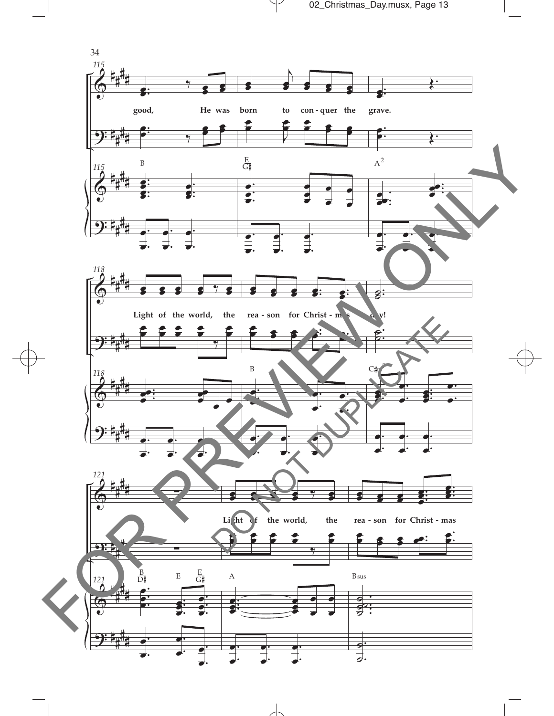



 $\mathcal Y$